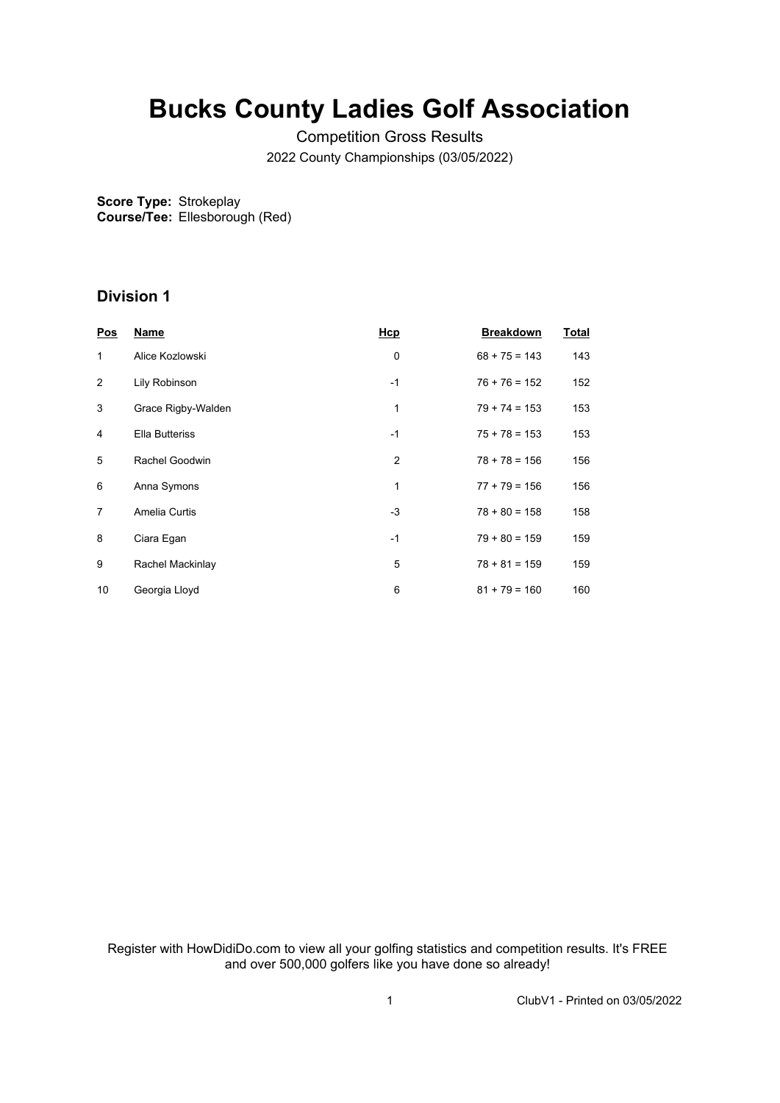## **Bucks County Ladies Golf Association**

Competition Gross Results 2022 County Championships (03/05/2022)

**Score Type:** Strokeplay **Course/Tee:** Ellesborough (Red)

## **Division 1**

| <b>Pos</b> | <b>Name</b>           | <b>Hcp</b> | <b>Breakdown</b> | <b>Total</b> |
|------------|-----------------------|------------|------------------|--------------|
| 1          | Alice Kozlowski       | 0          | $68 + 75 = 143$  | 143          |
| 2          | Lily Robinson         | $-1$       | $76 + 76 = 152$  | 152          |
| 3          | Grace Rigby-Walden    | 1          | $79 + 74 = 153$  | 153          |
| 4          | <b>Ella Butteriss</b> | $-1$       | $75 + 78 = 153$  | 153          |
| 5          | Rachel Goodwin        | 2          | $78 + 78 = 156$  | 156          |
| 6          | Anna Symons           | 1          | $77 + 79 = 156$  | 156          |
| 7          | Amelia Curtis         | $-3$       | $78 + 80 = 158$  | 158          |
| 8          | Ciara Egan            | $-1$       | $79 + 80 = 159$  | 159          |
| 9          | Rachel Mackinlay      | 5          | $78 + 81 = 159$  | 159          |
| 10         | Georgia Lloyd         | 6          | $81 + 79 = 160$  | 160          |

Register with HowDidiDo.com to view all your golfing statistics and competition results. It's FREE and over 500,000 golfers like you have done so already!